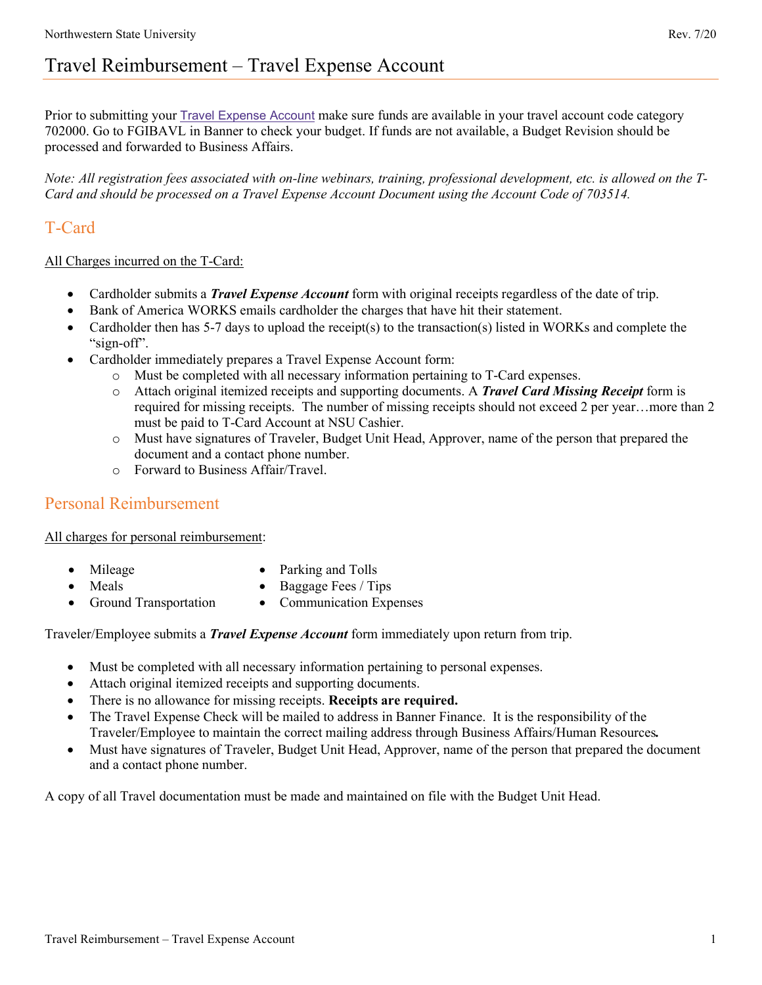Prior to submitting your [Travel Expense Account](http://www.nsula.edu/documentprovider/docs/370/11.%20Travel%20Expense%20Account.pdf) make sure funds are available in your travel account code category 702000. Go to FGIBAVL in Banner to check your budget. If funds are not available, a Budget Revision should be processed and forwarded to Business Affairs.

*Note: All registration fees associated with on-line webinars, training, professional development, etc. is allowed on the T-Card and should be processed on a Travel Expense Account Document using the Account Code of 703514.* 

## T-Card

## All Charges incurred on the T-Card:

- Cardholder submits a *Travel Expense Account* form with original receipts regardless of the date of trip.
- Bank of America WORKS emails cardholder the charges that have hit their statement.
- Cardholder then has 5-7 days to upload the receipt(s) to the transaction(s) listed in WORKs and complete the "sign-off".
- Cardholder immediately prepares a Travel Expense Account form:
	- o Must be completed with all necessary information pertaining to T-Card expenses.
	- o Attach original itemized receipts and supporting documents. A *Travel Card Missing Receipt* form is required for missing receipts. The number of missing receipts should not exceed 2 per year…more than 2 must be paid to T-Card Account at NSU Cashier.
	- o Must have signatures of Traveler, Budget Unit Head, Approver, name of the person that prepared the document and a contact phone number.
	- o Forward to Business Affair/Travel.

## Personal Reimbursement

## All charges for personal reimbursement:

• Mileage

• Parking and Tolls

• Meals

- Baggage Fees / Tips
- Ground Transportation
- 
- Communication Expenses

Traveler/Employee submits a *Travel Expense Account* form immediately upon return from trip.

- Must be completed with all necessary information pertaining to personal expenses.
- Attach original itemized receipts and supporting documents.
- There is no allowance for missing receipts. **Receipts are required.**
- The Travel Expense Check will be mailed to address in Banner Finance. It is the responsibility of the Traveler/Employee to maintain the correct mailing address through Business Affairs/Human Resources*.*
- Must have signatures of Traveler, Budget Unit Head, Approver, name of the person that prepared the document and a contact phone number.

A copy of all Travel documentation must be made and maintained on file with the Budget Unit Head.